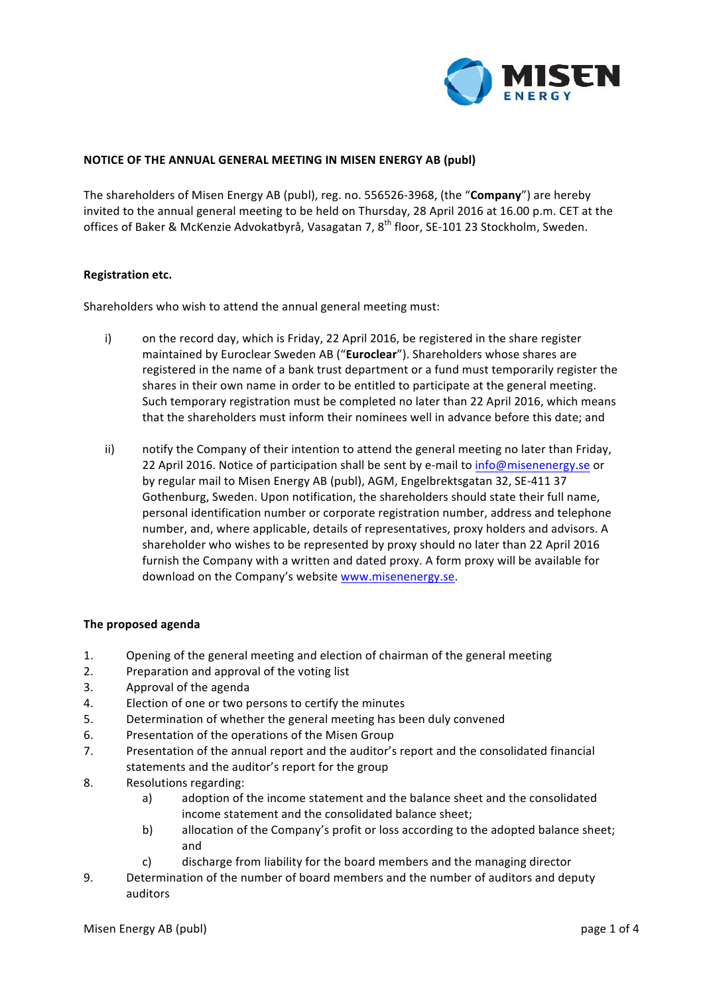

## **NOTICE OF THE ANNUAL GENERAL MEETING IN MISEN ENERGY AB (publ)**

The shareholders of Misen Energy AB (publ), reg. no. 556526-3968, (the "**Company**") are hereby invited to the annual general meeting to be held on Thursday, 28 April 2016 at 16.00 p.m. CET at the offices of Baker & McKenzie Advokatbyrå, Vasagatan 7, 8<sup>th</sup> floor, SE-101 23 Stockholm, Sweden.

#### **Registration etc.**

Shareholders who wish to attend the annual general meeting must:

- i) on the record day, which is Friday, 22 April 2016, be registered in the share register maintained by Euroclear Sweden AB ("Euroclear"). Shareholders whose shares are registered in the name of a bank trust department or a fund must temporarily register the shares in their own name in order to be entitled to participate at the general meeting. Such temporary registration must be completed no later than 22 April 2016, which means that the shareholders must inform their nominees well in advance before this date; and
- ii) notify the Company of their intention to attend the general meeting no later than Friday, 22 April 2016. Notice of participation shall be sent by e-mail to info@misenenergy.se or by regular mail to Misen Energy AB (publ), AGM, Engelbrektsgatan 32, SE-411 37 Gothenburg, Sweden. Upon notification, the shareholders should state their full name, personal identification number or corporate registration number, address and telephone number, and, where applicable, details of representatives, proxy holders and advisors. A shareholder who wishes to be represented by proxy should no later than 22 April 2016 furnish the Company with a written and dated proxy. A form proxy will be available for download on the Company's website www.misenenergy.se.

#### **The proposed agenda**

- 1. Opening of the general meeting and election of chairman of the general meeting
- 2. Preparation and approval of the voting list
- 3. Approval of the agenda
- 4. Election of one or two persons to certify the minutes
- 5. Determination of whether the general meeting has been duly convened
- 6. Presentation of the operations of the Misen Group
- 7. Presentation of the annual report and the auditor's report and the consolidated financial statements and the auditor's report for the group
- 8. Resolutions regarding:
	- a) adoption of the income statement and the balance sheet and the consolidated income statement and the consolidated balance sheet;
	- b) allocation of the Company's profit or loss according to the adopted balance sheet; and
	- c) discharge from liability for the board members and the managing director
- 9. Determination of the number of board members and the number of auditors and deputy auditors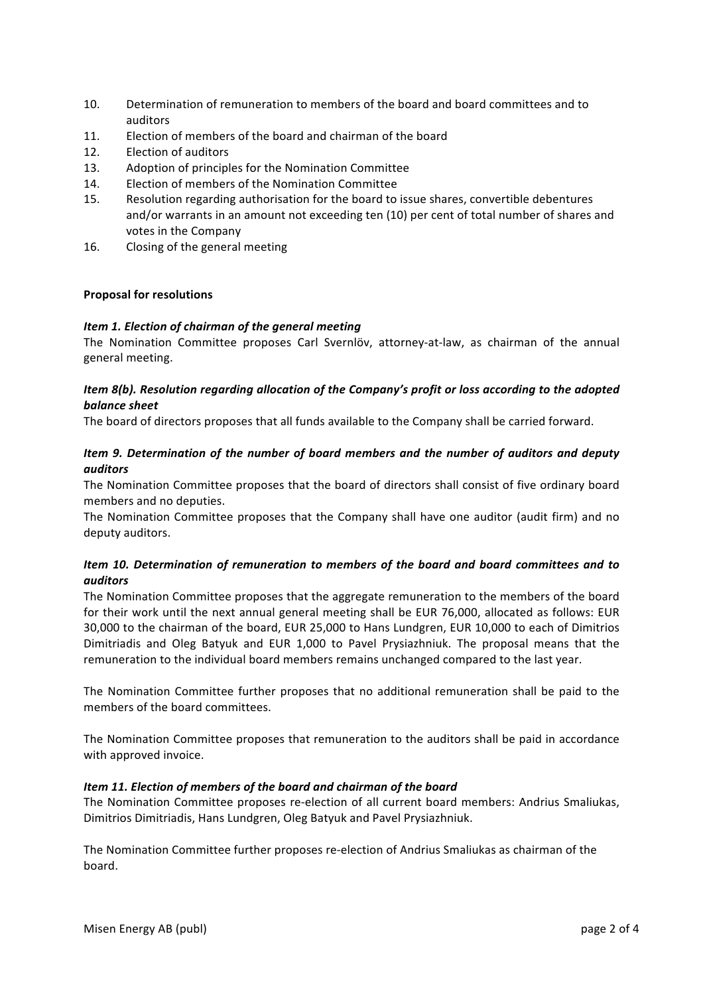- 10. Determination of remuneration to members of the board and board committees and to auditors
- 11. Election of members of the board and chairman of the board
- 12. Election of auditors
- 13. Adoption of principles for the Nomination Committee
- 14. Election of members of the Nomination Committee
- 15. Resolution regarding authorisation for the board to issue shares, convertible debentures and/or warrants in an amount not exceeding ten (10) per cent of total number of shares and votes in the Company
- 16. Closing of the general meeting

## **Proposal for resolutions**

### *Item 1. Election of chairman of the general meeting*

The Nomination Committee proposes Carl Svernlöv, attorney-at-law, as chairman of the annual general meeting.

# *Item 8(b). Resolution regarding allocation of the Company's profit or loss according to the adopted balance sheet*

The board of directors proposes that all funds available to the Company shall be carried forward.

# *Item* 9. Determination of the number of board members and the number of auditors and deputy *auditors*

The Nomination Committee proposes that the board of directors shall consist of five ordinary board members and no deputies.

The Nomination Committee proposes that the Company shall have one auditor (audit firm) and no deputy auditors.

# *Item 10. Determination of remuneration to members of the board and board committees and to auditors*

The Nomination Committee proposes that the aggregate remuneration to the members of the board for their work until the next annual general meeting shall be EUR 76,000, allocated as follows: EUR 30,000 to the chairman of the board, EUR 25,000 to Hans Lundgren, EUR 10,000 to each of Dimitrios Dimitriadis and Oleg Batyuk and EUR 1,000 to Pavel Prysiazhniuk. The proposal means that the remuneration to the individual board members remains unchanged compared to the last year.

The Nomination Committee further proposes that no additional remuneration shall be paid to the members of the board committees.

The Nomination Committee proposes that remuneration to the auditors shall be paid in accordance with approved invoice.

## *Item 11. Election of members of the board and chairman of the board*

The Nomination Committee proposes re-election of all current board members: Andrius Smaliukas, Dimitrios Dimitriadis, Hans Lundgren, Oleg Batyuk and Pavel Prysiazhniuk.

The Nomination Committee further proposes re-election of Andrius Smaliukas as chairman of the board.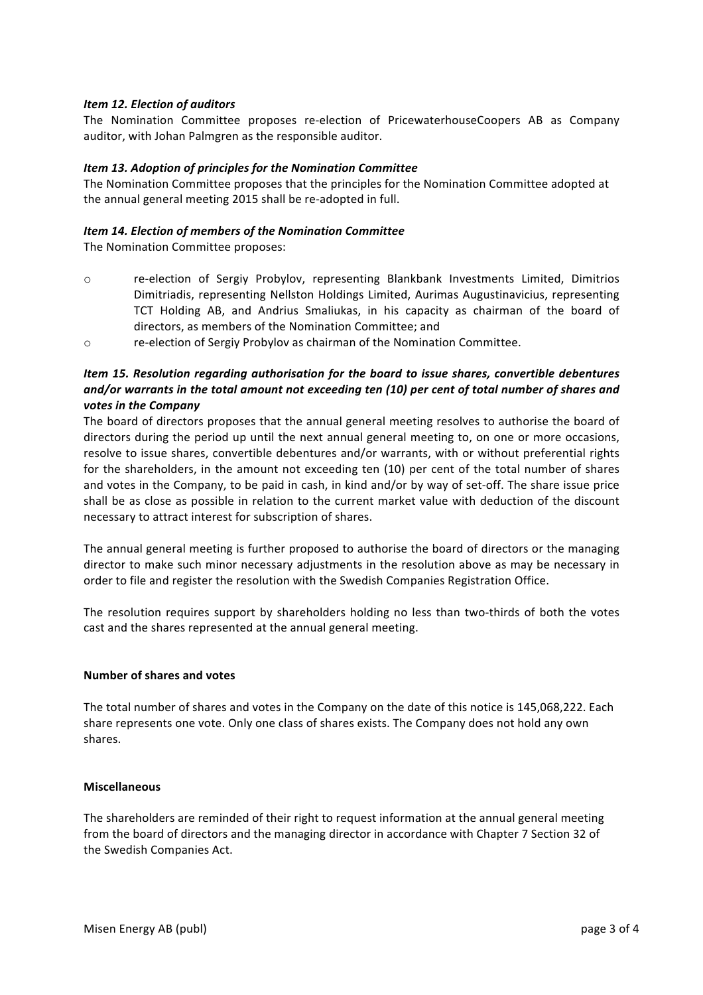## *Item 12. Election of auditors*

The Nomination Committee proposes re-election of PricewaterhouseCoopers AB as Company auditor, with Johan Palmgren as the responsible auditor.

## *Item 13. Adoption of principles for the Nomination Committee*

The Nomination Committee proposes that the principles for the Nomination Committee adopted at the annual general meeting 2015 shall be re-adopted in full.

#### *Item 14. Election of members of the Nomination Committee*

The Nomination Committee proposes:

- o re-election of Sergiy Probylov, representing Blankbank Investments Limited, Dimitrios Dimitriadis, representing Nellston Holdings Limited, Aurimas Augustinavicius, representing TCT Holding AB, and Andrius Smaliukas, in his capacity as chairman of the board of directors, as members of the Nomination Committee; and
- o re-election of Sergiy Probylov as chairman of the Nomination Committee.

# *Item* 15. Resolution regarding authorisation for the board to issue shares, convertible debentures *and/or* warrants in the total amount not exceeding ten (10) per cent of total number of shares and votes in the Company

The board of directors proposes that the annual general meeting resolves to authorise the board of directors during the period up until the next annual general meeting to, on one or more occasions, resolve to issue shares, convertible debentures and/or warrants, with or without preferential rights for the shareholders, in the amount not exceeding ten (10) per cent of the total number of shares and votes in the Company, to be paid in cash, in kind and/or by way of set-off. The share issue price shall be as close as possible in relation to the current market value with deduction of the discount necessary to attract interest for subscription of shares.

The annual general meeting is further proposed to authorise the board of directors or the managing director to make such minor necessary adjustments in the resolution above as may be necessary in order to file and register the resolution with the Swedish Companies Registration Office.

The resolution requires support by shareholders holding no less than two-thirds of both the votes cast and the shares represented at the annual general meeting.

#### **Number of shares and votes**

The total number of shares and votes in the Company on the date of this notice is 145,068,222. Each share represents one vote. Only one class of shares exists. The Company does not hold any own shares.

#### **Miscellaneous**

The shareholders are reminded of their right to request information at the annual general meeting from the board of directors and the managing director in accordance with Chapter 7 Section 32 of the Swedish Companies Act.